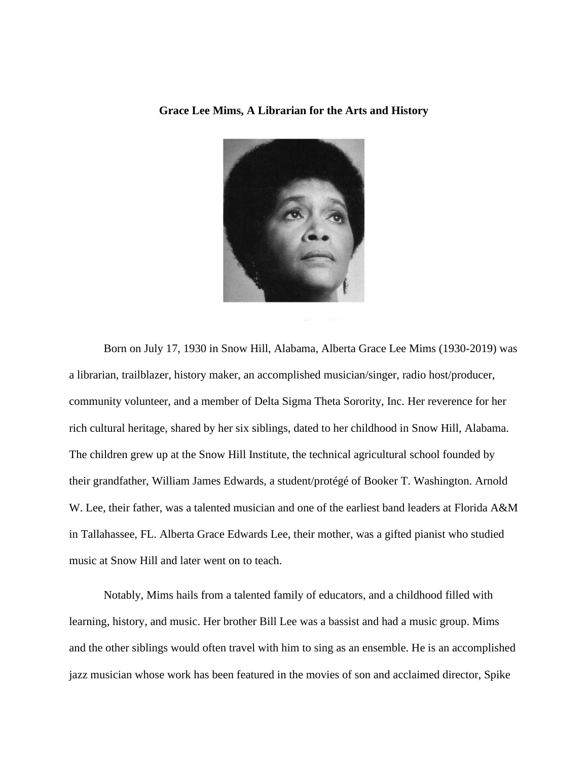## **Grace Lee Mims, A Librarian for the Arts and History**



Born on July 17, 1930 in Snow Hill, Alabama, Alberta Grace Lee Mims (1930-2019) was a librarian, trailblazer, history maker, an accomplished musician/singer, radio host/producer, community volunteer, and a member of Delta Sigma Theta Sorority, Inc. Her reverence for her rich cultural heritage, shared by her six siblings, dated to her childhood in Snow Hill, Alabama. The children grew up at the Snow Hill Institute, the technical agricultural school founded by their grandfather, William James Edwards, a student/protégé of Booker T. Washington. Arnold W. Lee, their father, was a talented musician and one of the earliest band leaders at Florida A&M in Tallahassee, FL. Alberta Grace Edwards Lee, their mother, was a gifted pianist who studied music at Snow Hill and later went on to teach.

Notably, Mims hails from a talented family of educators, and a childhood filled with learning, history, and music. Her brother Bill Lee was a bassist and had a music group. Mims and the other siblings would often travel with him to sing as an ensemble. He is an accomplished jazz musician whose work has been featured in the movies of son and acclaimed director, Spike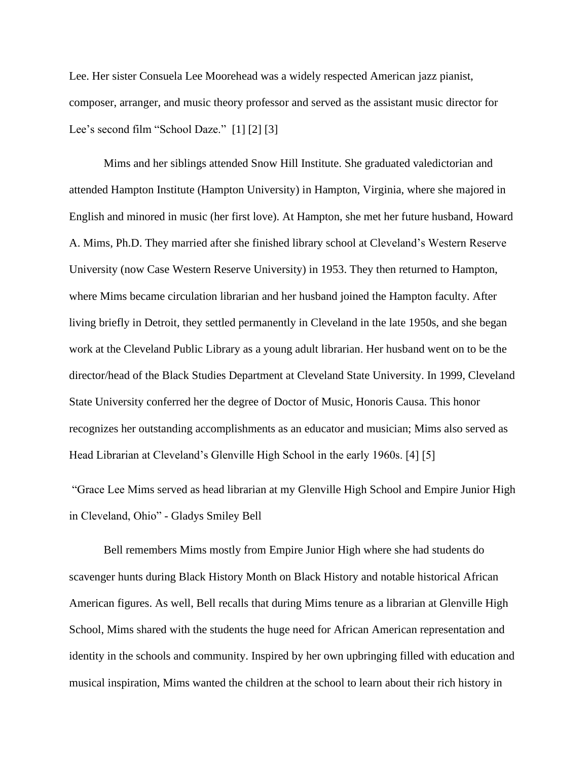Lee. Her sister Consuela Lee Moorehead was a widely respected American jazz pianist, composer, arranger, and music theory professor and served as the assistant music director for Lee's second film "School Daze." [1] [2] [3]

Mims and her siblings attended Snow Hill Institute. She graduated valedictorian and attended Hampton Institute (Hampton University) in Hampton, Virginia, where she majored in English and minored in music (her first love). At Hampton, she met her future husband, Howard A. Mims, Ph.D. They married after she finished library school at Cleveland's Western Reserve University (now Case Western Reserve University) in 1953. They then returned to Hampton, where Mims became circulation librarian and her husband joined the Hampton faculty. After living briefly in Detroit, they settled permanently in Cleveland in the late 1950s, and she began work at the Cleveland Public Library as a young adult librarian. Her husband went on to be the director/head of the Black Studies Department at Cleveland State University. In 1999, Cleveland State University conferred her the degree of Doctor of Music, Honoris Causa. This honor recognizes her outstanding accomplishments as an educator and musician; Mims also served as Head Librarian at Cleveland's Glenville High School in the early 1960s. [4] [5]

"Grace Lee Mims served as head librarian at my Glenville High School and Empire Junior High in Cleveland, Ohio" - Gladys Smiley Bell

Bell remembers Mims mostly from Empire Junior High where she had students do scavenger hunts during Black History Month on Black History and notable historical African American figures. As well, Bell recalls that during Mims tenure as a librarian at Glenville High School, Mims shared with the students the huge need for African American representation and identity in the schools and community. Inspired by her own upbringing filled with education and musical inspiration, Mims wanted the children at the school to learn about their rich history in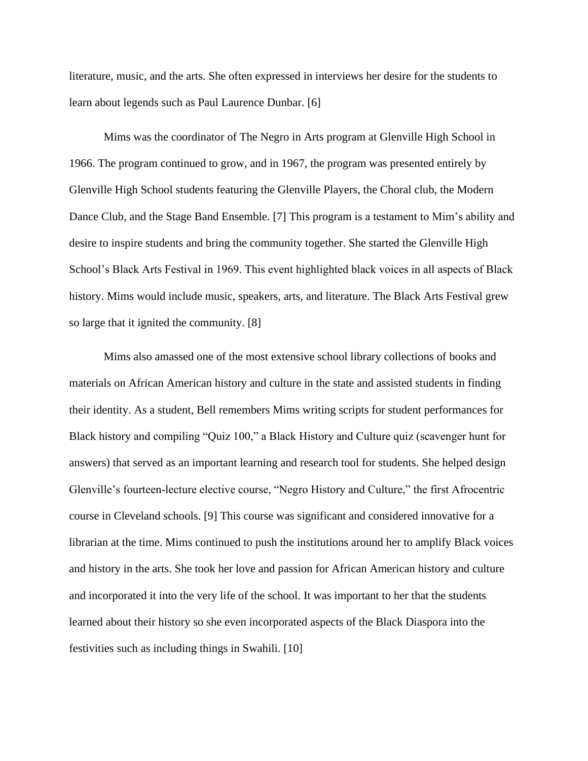literature, music, and the arts. She often expressed in interviews her desire for the students to learn about legends such as Paul Laurence Dunbar. [6]

Mims was the coordinator of The Negro in Arts program at Glenville High School in 1966. The program continued to grow, and in 1967, the program was presented entirely by Glenville High School students featuring the Glenville Players, the Choral club, the Modern Dance Club, and the Stage Band Ensemble. [7] This program is a testament to Mim's ability and desire to inspire students and bring the community together. She started the Glenville High School's Black Arts Festival in 1969. This event highlighted black voices in all aspects of Black history. Mims would include music, speakers, arts, and literature. The Black Arts Festival grew so large that it ignited the community. [8]

Mims also amassed one of the most extensive school library collections of books and materials on African American history and culture in the state and assisted students in finding their identity. As a student, Bell remembers Mims writing scripts for student performances for Black history and compiling "Quiz 100," a Black History and Culture quiz (scavenger hunt for answers) that served as an important learning and research tool for students. She helped design Glenville's fourteen-lecture elective course, "Negro History and Culture," the first Afrocentric course in Cleveland schools. [9] This course was significant and considered innovative for a librarian at the time. Mims continued to push the institutions around her to amplify Black voices and history in the arts. She took her love and passion for African American history and culture and incorporated it into the very life of the school. It was important to her that the students learned about their history so she even incorporated aspects of the Black Diaspora into the festivities such as including things in Swahili. [10]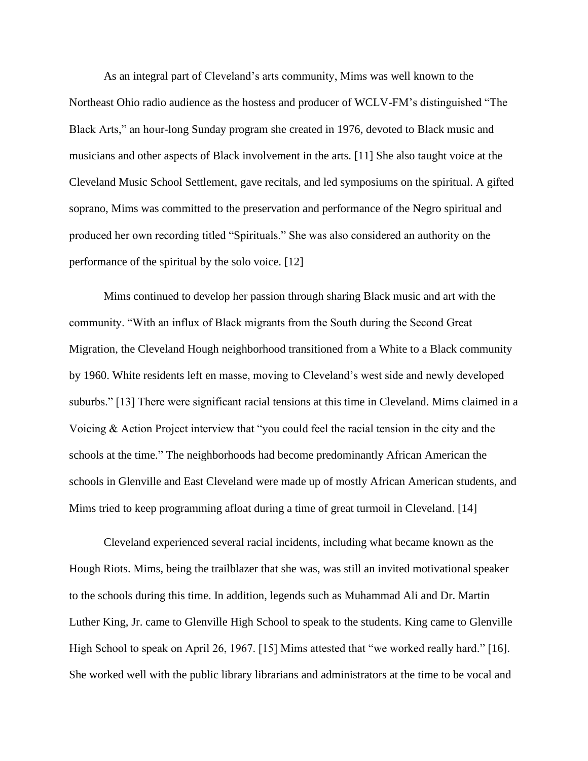As an integral part of Cleveland's arts community, Mims was well known to the Northeast Ohio radio audience as the hostess and producer of WCLV-FM's distinguished "The Black Arts," an hour-long Sunday program she created in 1976, devoted to Black music and musicians and other aspects of Black involvement in the arts. [11] She also taught voice at the Cleveland Music School Settlement, gave recitals, and led symposiums on the spiritual. A gifted soprano, Mims was committed to the preservation and performance of the Negro spiritual and produced her own recording titled "Spirituals." She was also considered an authority on the performance of the spiritual by the solo voice. [12]

Mims continued to develop her passion through sharing Black music and art with the community. "With an influx of Black migrants from the South during the Second Great Migration, the Cleveland Hough neighborhood transitioned from a White to a Black community by 1960. White residents left en masse, moving to Cleveland's west side and newly developed suburbs." [13] There were significant racial tensions at this time in Cleveland. Mims claimed in a Voicing & Action Project interview that "you could feel the racial tension in the city and the schools at the time." The neighborhoods had become predominantly African American the schools in Glenville and East Cleveland were made up of mostly African American students, and Mims tried to keep programming afloat during a time of great turmoil in Cleveland. [14]

Cleveland experienced several racial incidents, including what became known as the Hough Riots. Mims, being the trailblazer that she was, was still an invited motivational speaker to the schools during this time. In addition, legends such as Muhammad Ali and Dr. Martin Luther King, Jr. came to Glenville High School to speak to the students. King came to Glenville High School to speak on April 26, 1967. [15] Mims attested that "we worked really hard." [16]. She worked well with the public library librarians and administrators at the time to be vocal and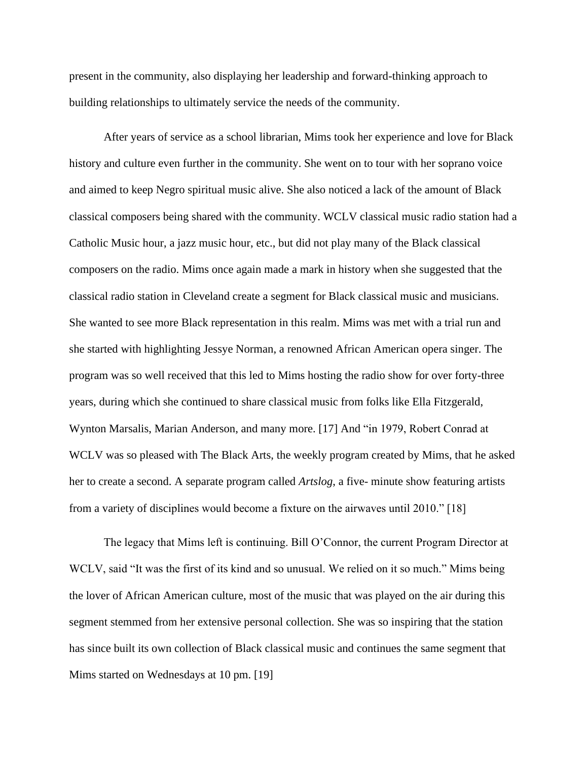present in the community, also displaying her leadership and forward-thinking approach to building relationships to ultimately service the needs of the community.

After years of service as a school librarian, Mims took her experience and love for Black history and culture even further in the community. She went on to tour with her soprano voice and aimed to keep Negro spiritual music alive. She also noticed a lack of the amount of Black classical composers being shared with the community. WCLV classical music radio station had a Catholic Music hour, a jazz music hour, etc., but did not play many of the Black classical composers on the radio. Mims once again made a mark in history when she suggested that the classical radio station in Cleveland create a segment for Black classical music and musicians. She wanted to see more Black representation in this realm. Mims was met with a trial run and she started with highlighting Jessye Norman, a renowned African American opera singer. The program was so well received that this led to Mims hosting the radio show for over forty-three years, during which she continued to share classical music from folks like Ella Fitzgerald, Wynton Marsalis, Marian Anderson, and many more. [17] And "in 1979, Robert Conrad at WCLV was so pleased with The Black Arts, the weekly program created by Mims, that he asked her to create a second. A separate program called *Artslog*, a five- minute show featuring artists from a variety of disciplines would become a fixture on the airwaves until 2010." [18]

The legacy that Mims left is continuing. Bill O'Connor, the current Program Director at WCLV, said "It was the first of its kind and so unusual. We relied on it so much." Mims being the lover of African American culture, most of the music that was played on the air during this segment stemmed from her extensive personal collection. She was so inspiring that the station has since built its own collection of Black classical music and continues the same segment that Mims started on Wednesdays at 10 pm. [19]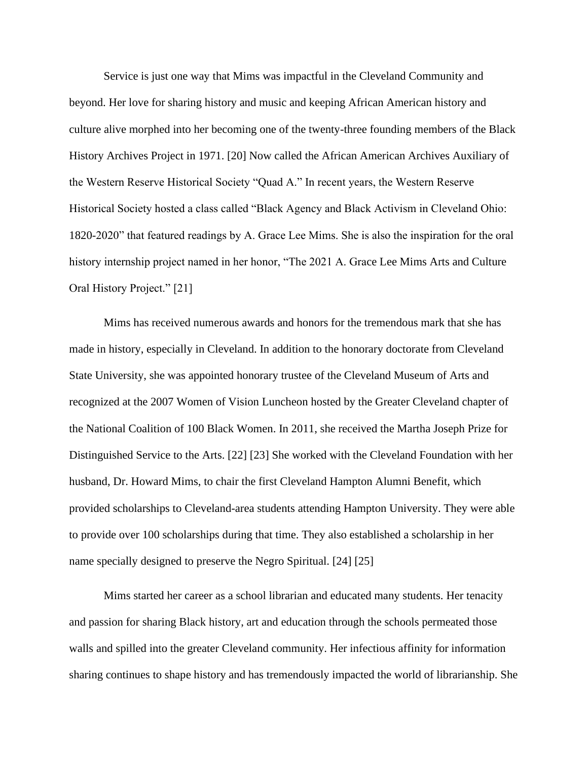Service is just one way that Mims was impactful in the Cleveland Community and beyond. Her love for sharing history and music and keeping African American history and culture alive morphed into her becoming one of the twenty-three founding members of the Black History Archives Project in 1971. [20] Now called the African American Archives Auxiliary of the Western Reserve Historical Society "Quad A." In recent years, the Western Reserve Historical Society hosted a class called "Black Agency and Black Activism in Cleveland Ohio: 1820-2020" that featured readings by A. Grace Lee Mims. She is also the inspiration for the oral history internship project named in her honor, "The 2021 A. Grace Lee Mims Arts and Culture Oral History Project." [21]

Mims has received numerous awards and honors for the tremendous mark that she has made in history, especially in Cleveland. In addition to the honorary doctorate from Cleveland State University, she was appointed honorary trustee of the Cleveland Museum of Arts and recognized at the 2007 Women of Vision Luncheon hosted by the Greater Cleveland chapter of the National Coalition of 100 Black Women. In 2011, she received the Martha Joseph Prize for Distinguished Service to the Arts. [22] [23] She worked with the Cleveland Foundation with her husband, Dr. Howard Mims, to chair the first Cleveland Hampton Alumni Benefit, which provided scholarships to Cleveland-area students attending Hampton University. They were able to provide over 100 scholarships during that time. They also established a scholarship in her name specially designed to preserve the Negro Spiritual. [24] [25]

Mims started her career as a school librarian and educated many students. Her tenacity and passion for sharing Black history, art and education through the schools permeated those walls and spilled into the greater Cleveland community. Her infectious affinity for information sharing continues to shape history and has tremendously impacted the world of librarianship. She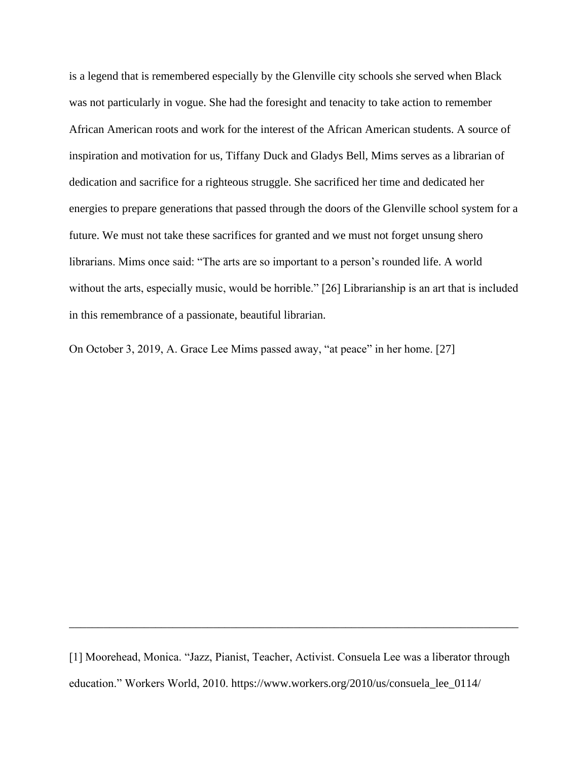is a legend that is remembered especially by the Glenville city schools she served when Black was not particularly in vogue. She had the foresight and tenacity to take action to remember African American roots and work for the interest of the African American students. A source of inspiration and motivation for us, Tiffany Duck and Gladys Bell, Mims serves as a librarian of dedication and sacrifice for a righteous struggle. She sacrificed her time and dedicated her energies to prepare generations that passed through the doors of the Glenville school system for a future. We must not take these sacrifices for granted and we must not forget unsung shero librarians. Mims once said: "The arts are so important to a person's rounded life. A world without the arts, especially music, would be horrible." [26] Librarianship is an art that is included in this remembrance of a passionate, beautiful librarian.

On October 3, 2019, A. Grace Lee Mims passed away, "at peace" in her home. [27]

[1] Moorehead, Monica. "Jazz, Pianist, Teacher, Activist. Consuela Lee was a liberator through education." Workers World, 2010. https://www.workers.org/2010/us/consuela\_lee\_0114/

\_\_\_\_\_\_\_\_\_\_\_\_\_\_\_\_\_\_\_\_\_\_\_\_\_\_\_\_\_\_\_\_\_\_\_\_\_\_\_\_\_\_\_\_\_\_\_\_\_\_\_\_\_\_\_\_\_\_\_\_\_\_\_\_\_\_\_\_\_\_\_\_\_\_\_\_\_\_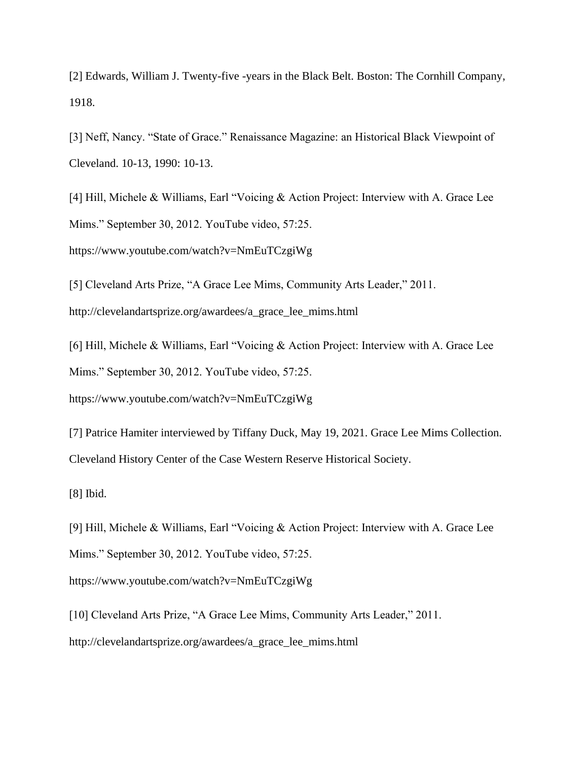[2] Edwards, William J. Twenty-five -years in the Black Belt. Boston: The Cornhill Company, 1918.

[3] Neff, Nancy. "State of Grace." Renaissance Magazine: an Historical Black Viewpoint of Cleveland. 10-13, 1990: 10-13.

[4] Hill, Michele & Williams, Earl "Voicing & Action Project: Interview with A. Grace Lee Mims." September 30, 2012. YouTube video, 57:25.

https://www.youtube.com/watch?v=NmEuTCzgiWg

[5] Cleveland Arts Prize, "A Grace Lee Mims, Community Arts Leader," 2011. http://clevelandartsprize.org/awardees/a\_grace\_lee\_mims.html

[6] Hill, Michele & Williams, Earl "Voicing & Action Project: Interview with A. Grace Lee Mims." September 30, 2012. YouTube video, 57:25.

https://www.youtube.com/watch?v=NmEuTCzgiWg

[7] Patrice Hamiter interviewed by Tiffany Duck, May 19, 2021. Grace Lee Mims Collection. Cleveland History Center of the Case Western Reserve Historical Society.

[8] Ibid.

[9] Hill, Michele & Williams, Earl "Voicing & Action Project: Interview with A. Grace Lee Mims." September 30, 2012. YouTube video, 57:25.

https://www.youtube.com/watch?v=NmEuTCzgiWg

[10] Cleveland Arts Prize, "A Grace Lee Mims, Community Arts Leader," 2011. http://clevelandartsprize.org/awardees/a\_grace\_lee\_mims.html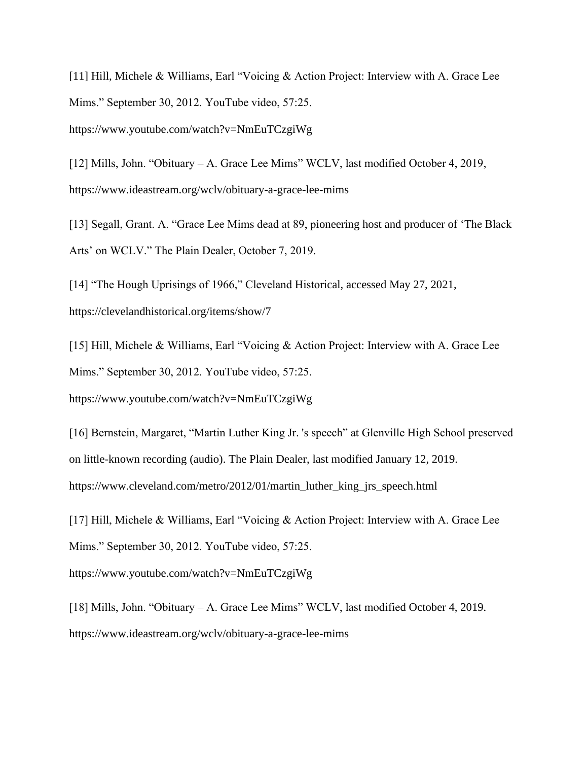[11] Hill, Michele & Williams, Earl "Voicing & Action Project: Interview with A. Grace Lee Mims." September 30, 2012. YouTube video, 57:25.

https://www.youtube.com/watch?v=NmEuTCzgiWg

[12] Mills, John. "Obituary – A. Grace Lee Mims" WCLV, last modified October 4, 2019, https://www.ideastream.org/wclv/obituary-a-grace-lee-mims

[13] Segall, Grant. A. "Grace Lee Mims dead at 89, pioneering host and producer of 'The Black Arts' on WCLV." The Plain Dealer, October 7, 2019.

[14] "The Hough Uprisings of 1966," Cleveland Historical, accessed May 27, 2021, https://clevelandhistorical.org/items/show/7

[15] Hill, Michele & Williams, Earl "Voicing & Action Project: Interview with A. Grace Lee Mims." September 30, 2012. YouTube video, 57:25.

https://www.youtube.com/watch?v=NmEuTCzgiWg

[16] Bernstein, Margaret, "Martin Luther King Jr. 's speech" at Glenville High School preserved on little-known recording (audio). The Plain Dealer, last modified January 12, 2019. https://www.cleveland.com/metro/2012/01/martin\_luther\_king\_jrs\_speech.html

[17] Hill, Michele & Williams, Earl "Voicing & Action Project: Interview with A. Grace Lee Mims." September 30, 2012. YouTube video, 57:25.

https://www.youtube.com/watch?v=NmEuTCzgiWg

[18] Mills, John. "Obituary – A. Grace Lee Mims" WCLV, last modified October 4, 2019. https://www.ideastream.org/wclv/obituary-a-grace-lee-mims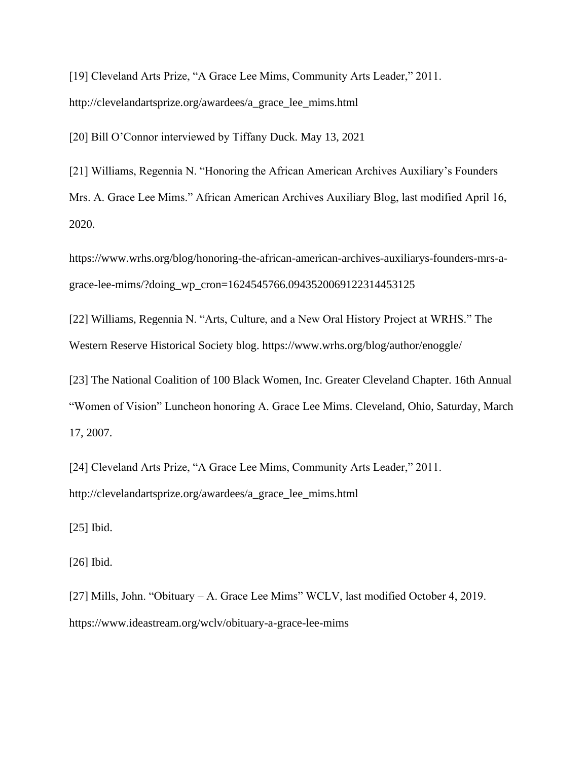[19] Cleveland Arts Prize, "A Grace Lee Mims, Community Arts Leader," 2011. http://clevelandartsprize.org/awardees/a\_grace\_lee\_mims.html

[20] Bill O'Connor interviewed by Tiffany Duck. May 13, 2021

[21] Williams, Regennia N. "Honoring the African American Archives Auxiliary's Founders Mrs. A. Grace Lee Mims." African American Archives Auxiliary Blog, last modified April 16, 2020.

https://www.wrhs.org/blog/honoring-the-african-american-archives-auxiliarys-founders-mrs-agrace-lee-mims/?doing\_wp\_cron=1624545766.0943520069122314453125

[22] Williams, Regennia N. "Arts, Culture, and a New Oral History Project at WRHS." The Western Reserve Historical Society blog. https://www.wrhs.org/blog/author/enoggle/

[23] The National Coalition of 100 Black Women, Inc. Greater Cleveland Chapter. 16th Annual "Women of Vision" Luncheon honoring A. Grace Lee Mims. Cleveland, Ohio, Saturday, March 17, 2007.

[24] Cleveland Arts Prize, "A Grace Lee Mims, Community Arts Leader," 2011. http://clevelandartsprize.org/awardees/a\_grace\_lee\_mims.html

[25] Ibid.

[26] Ibid.

[27] Mills, John. "Obituary – A. Grace Lee Mims" WCLV, last modified October 4, 2019. https://www.ideastream.org/wclv/obituary-a-grace-lee-mims